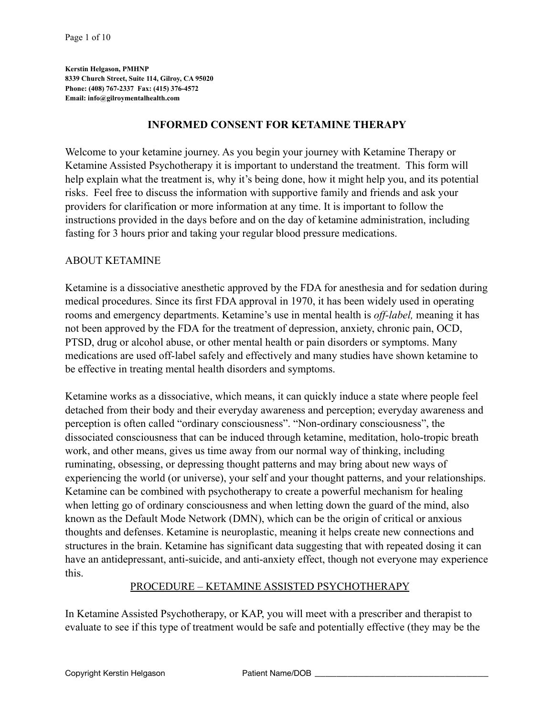**Kerstin Helgason, PMHNP 8339 Church Street, Suite 114, Gilroy, CA 95020 Phone: (408) 767-2337 Fax: (415) 376-4572 Email: [info@gilroymentalhealth.com](mailto:info@gilroymentalhealth.com)**

### **INFORMED CONSENT FOR KETAMINE THERAPY**

Welcome to your ketamine journey. As you begin your journey with Ketamine Therapy or Ketamine Assisted Psychotherapy it is important to understand the treatment. This form will help explain what the treatment is, why it's being done, how it might help you, and its potential risks. Feel free to discuss the information with supportive family and friends and ask your providers for clarification or more information at any time. It is important to follow the instructions provided in the days before and on the day of ketamine administration, including fasting for 3 hours prior and taking your regular blood pressure medications.

#### ABOUT KETAMINE

Ketamine is a dissociative anesthetic approved by the FDA for anesthesia and for sedation during medical procedures. Since its first FDA approval in 1970, it has been widely used in operating rooms and emergency departments. Ketamine's use in mental health is *off-label,* meaning it has not been approved by the FDA for the treatment of depression, anxiety, chronic pain, OCD, PTSD, drug or alcohol abuse, or other mental health or pain disorders or symptoms. Many medications are used off-label safely and effectively and many studies have shown ketamine to be effective in treating mental health disorders and symptoms.

Ketamine works as a dissociative, which means, it can quickly induce a state where people feel detached from their body and their everyday awareness and perception; everyday awareness and perception is often called "ordinary consciousness". "Non-ordinary consciousness", the dissociated consciousness that can be induced through ketamine, meditation, holo-tropic breath work, and other means, gives us time away from our normal way of thinking, including ruminating, obsessing, or depressing thought patterns and may bring about new ways of experiencing the world (or universe), your self and your thought patterns, and your relationships. Ketamine can be combined with psychotherapy to create a powerful mechanism for healing when letting go of ordinary consciousness and when letting down the guard of the mind, also known as the Default Mode Network (DMN), which can be the origin of critical or anxious thoughts and defenses. Ketamine is neuroplastic, meaning it helps create new connections and structures in the brain. Ketamine has significant data suggesting that with repeated dosing it can have an antidepressant, anti-suicide, and anti-anxiety effect, though not everyone may experience this.

#### PROCEDURE – KETAMINE ASSISTED PSYCHOTHERAPY

In Ketamine Assisted Psychotherapy, or KAP, you will meet with a prescriber and therapist to evaluate to see if this type of treatment would be safe and potentially effective (they may be the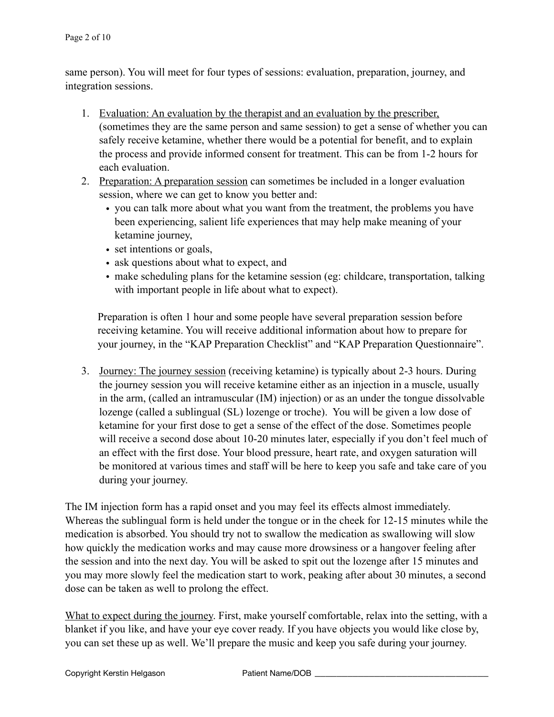same person). You will meet for four types of sessions: evaluation, preparation, journey, and integration sessions.

- 1. Evaluation: An evaluation by the therapist and an evaluation by the prescriber, (sometimes they are the same person and same session) to get a sense of whether you can safely receive ketamine, whether there would be a potential for benefit, and to explain the process and provide informed consent for treatment. This can be from 1-2 hours for each evaluation.
- 2. Preparation: A preparation session can sometimes be included in a longer evaluation session, where we can get to know you better and:
	- you can talk more about what you want from the treatment, the problems you have been experiencing, salient life experiences that may help make meaning of your ketamine journey,
	- set intentions or goals,
	- ask questions about what to expect, and
	- make scheduling plans for the ketamine session (eg: childcare, transportation, talking with important people in life about what to expect).

Preparation is often 1 hour and some people have several preparation session before receiving ketamine. You will receive additional information about how to prepare for your journey, in the "KAP Preparation Checklist" and "KAP Preparation Questionnaire".

3. Journey: The journey session (receiving ketamine) is typically about 2-3 hours. During the journey session you will receive ketamine either as an injection in a muscle, usually in the arm, (called an intramuscular (IM) injection) or as an under the tongue dissolvable lozenge (called a sublingual (SL) lozenge or troche). You will be given a low dose of ketamine for your first dose to get a sense of the effect of the dose. Sometimes people will receive a second dose about 10-20 minutes later, especially if you don't feel much of an effect with the first dose. Your blood pressure, heart rate, and oxygen saturation will be monitored at various times and staff will be here to keep you safe and take care of you during your journey.

The IM injection form has a rapid onset and you may feel its effects almost immediately. Whereas the sublingual form is held under the tongue or in the cheek for 12-15 minutes while the medication is absorbed. You should try not to swallow the medication as swallowing will slow how quickly the medication works and may cause more drowsiness or a hangover feeling after the session and into the next day. You will be asked to spit out the lozenge after 15 minutes and you may more slowly feel the medication start to work, peaking after about 30 minutes, a second dose can be taken as well to prolong the effect.

What to expect during the journey. First, make yourself comfortable, relax into the setting, with a blanket if you like, and have your eye cover ready. If you have objects you would like close by, you can set these up as well. We'll prepare the music and keep you safe during your journey.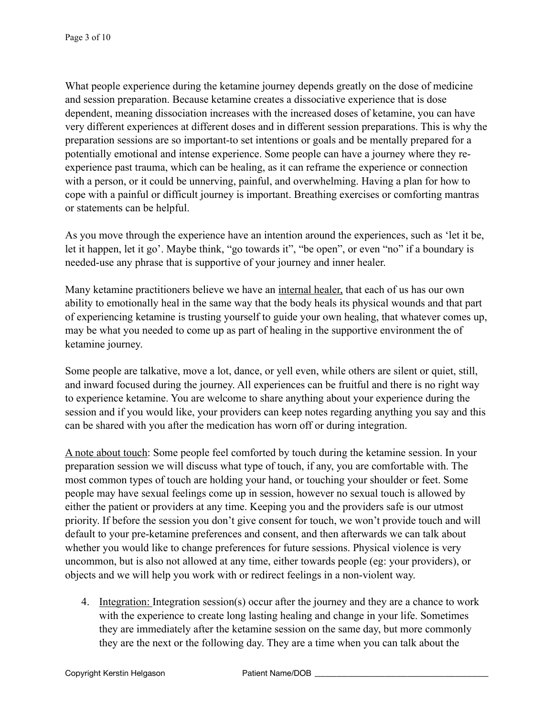What people experience during the ketamine journey depends greatly on the dose of medicine and session preparation. Because ketamine creates a dissociative experience that is dose dependent, meaning dissociation increases with the increased doses of ketamine, you can have very different experiences at different doses and in different session preparations. This is why the preparation sessions are so important-to set intentions or goals and be mentally prepared for a potentially emotional and intense experience. Some people can have a journey where they reexperience past trauma, which can be healing, as it can reframe the experience or connection with a person, or it could be unnerving, painful, and overwhelming. Having a plan for how to cope with a painful or difficult journey is important. Breathing exercises or comforting mantras or statements can be helpful.

As you move through the experience have an intention around the experiences, such as 'let it be, let it happen, let it go'. Maybe think, "go towards it", "be open", or even "no" if a boundary is needed-use any phrase that is supportive of your journey and inner healer.

Many ketamine practitioners believe we have an internal healer, that each of us has our own ability to emotionally heal in the same way that the body heals its physical wounds and that part of experiencing ketamine is trusting yourself to guide your own healing, that whatever comes up, may be what you needed to come up as part of healing in the supportive environment the of ketamine journey.

Some people are talkative, move a lot, dance, or yell even, while others are silent or quiet, still, and inward focused during the journey. All experiences can be fruitful and there is no right way to experience ketamine. You are welcome to share anything about your experience during the session and if you would like, your providers can keep notes regarding anything you say and this can be shared with you after the medication has worn off or during integration.

A note about touch: Some people feel comforted by touch during the ketamine session. In your preparation session we will discuss what type of touch, if any, you are comfortable with. The most common types of touch are holding your hand, or touching your shoulder or feet. Some people may have sexual feelings come up in session, however no sexual touch is allowed by either the patient or providers at any time. Keeping you and the providers safe is our utmost priority. If before the session you don't give consent for touch, we won't provide touch and will default to your pre-ketamine preferences and consent, and then afterwards we can talk about whether you would like to change preferences for future sessions. Physical violence is very uncommon, but is also not allowed at any time, either towards people (eg: your providers), or objects and we will help you work with or redirect feelings in a non-violent way.

4. Integration: Integration session(s) occur after the journey and they are a chance to work with the experience to create long lasting healing and change in your life. Sometimes they are immediately after the ketamine session on the same day, but more commonly they are the next or the following day. They are a time when you can talk about the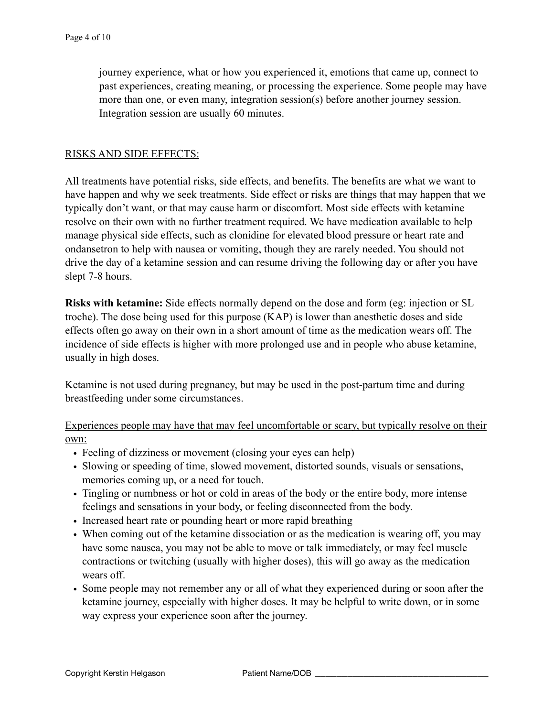journey experience, what or how you experienced it, emotions that came up, connect to past experiences, creating meaning, or processing the experience. Some people may have more than one, or even many, integration session(s) before another journey session. Integration session are usually 60 minutes.

### RISKS AND SIDE EFFECTS:

All treatments have potential risks, side effects, and benefits. The benefits are what we want to have happen and why we seek treatments. Side effect or risks are things that may happen that we typically don't want, or that may cause harm or discomfort. Most side effects with ketamine resolve on their own with no further treatment required. We have medication available to help manage physical side effects, such as clonidine for elevated blood pressure or heart rate and ondansetron to help with nausea or vomiting, though they are rarely needed. You should not drive the day of a ketamine session and can resume driving the following day or after you have slept 7-8 hours.

**Risks with ketamine:** Side effects normally depend on the dose and form (eg: injection or SL troche). The dose being used for this purpose (KAP) is lower than anesthetic doses and side effects often go away on their own in a short amount of time as the medication wears off. The incidence of side effects is higher with more prolonged use and in people who abuse ketamine, usually in high doses.

Ketamine is not used during pregnancy, but may be used in the post-partum time and during breastfeeding under some circumstances.

Experiences people may have that may feel uncomfortable or scary, but typically resolve on their own:

- Feeling of dizziness or movement (closing your eyes can help)
- Slowing or speeding of time, slowed movement, distorted sounds, visuals or sensations, memories coming up, or a need for touch.
- Tingling or numbness or hot or cold in areas of the body or the entire body, more intense feelings and sensations in your body, or feeling disconnected from the body.
- Increased heart rate or pounding heart or more rapid breathing
- When coming out of the ketamine dissociation or as the medication is wearing off, you may have some nausea, you may not be able to move or talk immediately, or may feel muscle contractions or twitching (usually with higher doses), this will go away as the medication wears off.
- Some people may not remember any or all of what they experienced during or soon after the ketamine journey, especially with higher doses. It may be helpful to write down, or in some way express your experience soon after the journey.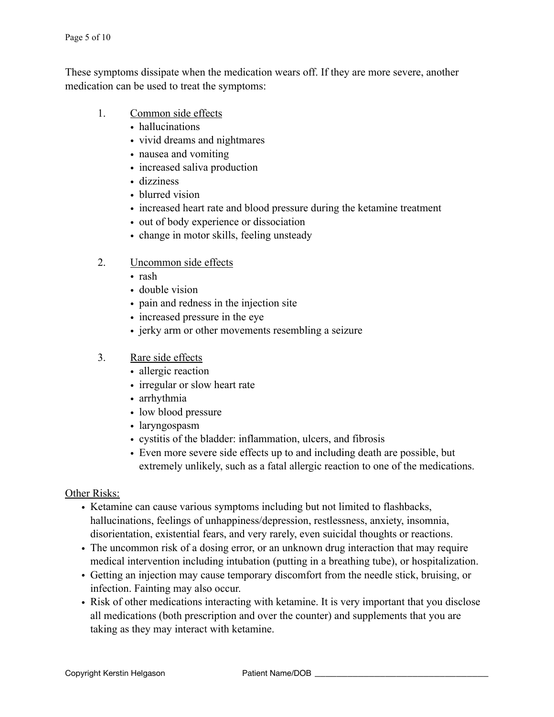These symptoms dissipate when the medication wears off. If they are more severe, another medication can be used to treat the symptoms:

- 1. Common side effects
	- hallucinations
	- vivid dreams and nightmares
	- nausea and vomiting
	- increased saliva production
	- dizziness
	- blurred vision
	- increased heart rate and blood pressure during the ketamine treatment
	- out of body experience or dissociation
	- change in motor skills, feeling unsteady

## 2. Uncommon side effects

- rash
- double vision
- pain and redness in the injection site
- increased pressure in the eye
- jerky arm or other movements resembling a seizure

## 3. Rare side effects

- allergic reaction
- irregular or slow heart rate
- arrhythmia
- low blood pressure
- laryngospasm
- cystitis of the bladder: inflammation, ulcers, and fibrosis
- Even more severe side effects up to and including death are possible, but extremely unlikely, such as a fatal allergic reaction to one of the medications.

### Other Risks:

- Ketamine can cause various symptoms including but not limited to flashbacks, hallucinations, feelings of unhappiness/depression, restlessness, anxiety, insomnia, disorientation, existential fears, and very rarely, even suicidal thoughts or reactions.
- The uncommon risk of a dosing error, or an unknown drug interaction that may require medical intervention including intubation (putting in a breathing tube), or hospitalization.
- Getting an injection may cause temporary discomfort from the needle stick, bruising, or infection. Fainting may also occur.
- Risk of other medications interacting with ketamine. It is very important that you disclose all medications (both prescription and over the counter) and supplements that you are taking as they may interact with ketamine.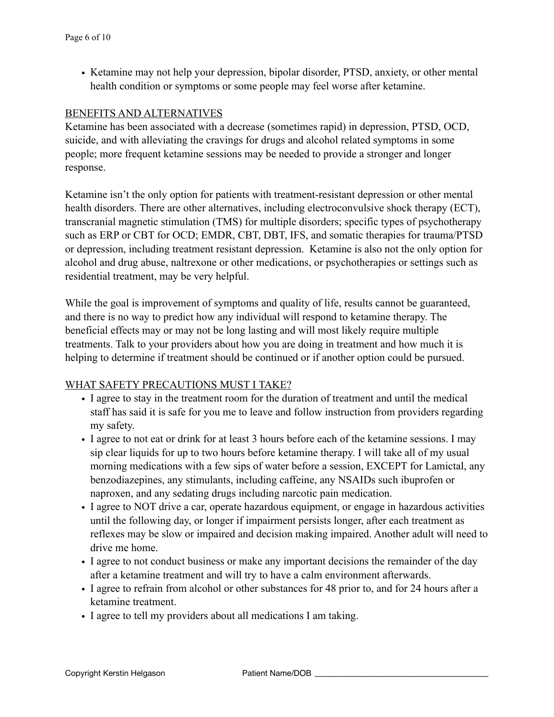• Ketamine may not help your depression, bipolar disorder, PTSD, anxiety, or other mental health condition or symptoms or some people may feel worse after ketamine.

### BENEFITS AND ALTERNATIVES

Ketamine has been associated with a decrease (sometimes rapid) in depression, PTSD, OCD, suicide, and with alleviating the cravings for drugs and alcohol related symptoms in some people; more frequent ketamine sessions may be needed to provide a stronger and longer response.

Ketamine isn't the only option for patients with treatment-resistant depression or other mental health disorders. There are other alternatives, including electroconvulsive shock therapy (ECT), transcranial magnetic stimulation (TMS) for multiple disorders; specific types of psychotherapy such as ERP or CBT for OCD; EMDR, CBT, DBT, IFS, and somatic therapies for trauma/PTSD or depression, including treatment resistant depression. Ketamine is also not the only option for alcohol and drug abuse, naltrexone or other medications, or psychotherapies or settings such as residential treatment, may be very helpful.

While the goal is improvement of symptoms and quality of life, results cannot be guaranteed, and there is no way to predict how any individual will respond to ketamine therapy. The beneficial effects may or may not be long lasting and will most likely require multiple treatments. Talk to your providers about how you are doing in treatment and how much it is helping to determine if treatment should be continued or if another option could be pursued.

#### WHAT SAFETY PRECAUTIONS MUST I TAKE?

- I agree to stay in the treatment room for the duration of treatment and until the medical staff has said it is safe for you me to leave and follow instruction from providers regarding my safety.
- I agree to not eat or drink for at least 3 hours before each of the ketamine sessions. I may sip clear liquids for up to two hours before ketamine therapy. I will take all of my usual morning medications with a few sips of water before a session, EXCEPT for Lamictal, any benzodiazepines, any stimulants, including caffeine, any NSAIDs such ibuprofen or naproxen, and any sedating drugs including narcotic pain medication.
- I agree to NOT drive a car, operate hazardous equipment, or engage in hazardous activities until the following day, or longer if impairment persists longer, after each treatment as reflexes may be slow or impaired and decision making impaired. Another adult will need to drive me home.
- I agree to not conduct business or make any important decisions the remainder of the day after a ketamine treatment and will try to have a calm environment afterwards.
- I agree to refrain from alcohol or other substances for 48 prior to, and for 24 hours after a ketamine treatment.
- I agree to tell my providers about all medications I am taking.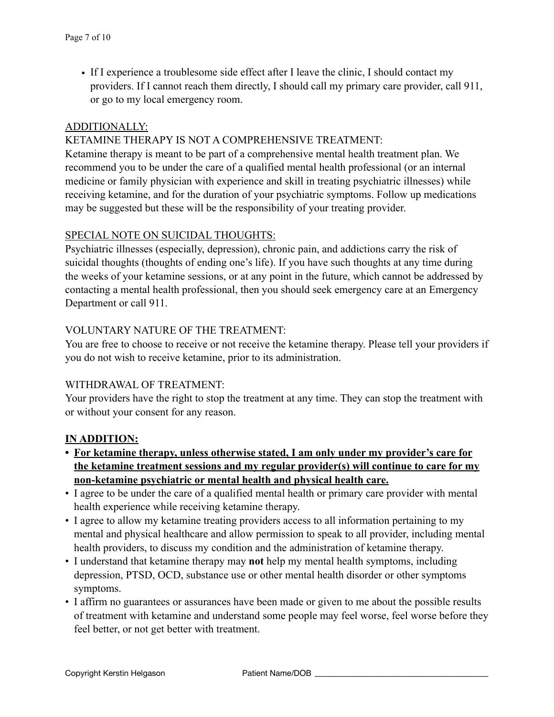• If I experience a troublesome side effect after I leave the clinic, I should contact my providers. If I cannot reach them directly, I should call my primary care provider, call 911, or go to my local emergency room.

### ADDITIONALLY:

### KETAMINE THERAPY IS NOT A COMPREHENSIVE TREATMENT:

Ketamine therapy is meant to be part of a comprehensive mental health treatment plan. We recommend you to be under the care of a qualified mental health professional (or an internal medicine or family physician with experience and skill in treating psychiatric illnesses) while receiving ketamine, and for the duration of your psychiatric symptoms. Follow up medications may be suggested but these will be the responsibility of your treating provider.

#### SPECIAL NOTE ON SUICIDAL THOUGHTS:

Psychiatric illnesses (especially, depression), chronic pain, and addictions carry the risk of suicidal thoughts (thoughts of ending one's life). If you have such thoughts at any time during the weeks of your ketamine sessions, or at any point in the future, which cannot be addressed by contacting a mental health professional, then you should seek emergency care at an Emergency Department or call 911.

### VOLUNTARY NATURE OF THE TREATMENT:

You are free to choose to receive or not receive the ketamine therapy. Please tell your providers if you do not wish to receive ketamine, prior to its administration.

#### WITHDRAWAL OF TREATMENT:

Your providers have the right to stop the treatment at any time. They can stop the treatment with or without your consent for any reason.

#### **IN ADDITION:**

- **• For ketamine therapy, unless otherwise stated, I am only under my provider's care for the ketamine treatment sessions and my regular provider(s) will continue to care for my non-ketamine psychiatric or mental health and physical health care.**
- I agree to be under the care of a qualified mental health or primary care provider with mental health experience while receiving ketamine therapy.
- I agree to allow my ketamine treating providers access to all information pertaining to my mental and physical healthcare and allow permission to speak to all provider, including mental health providers, to discuss my condition and the administration of ketamine therapy.
- I understand that ketamine therapy may **not** help my mental health symptoms, including depression, PTSD, OCD, substance use or other mental health disorder or other symptoms symptoms.
- I affirm no guarantees or assurances have been made or given to me about the possible results of treatment with ketamine and understand some people may feel worse, feel worse before they feel better, or not get better with treatment.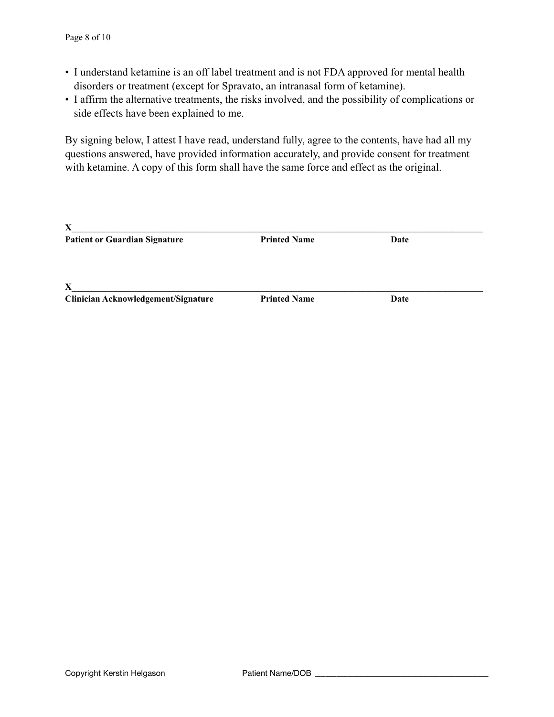- I understand ketamine is an off label treatment and is not FDA approved for mental health disorders or treatment (except for Spravato, an intranasal form of ketamine).
- I affirm the alternative treatments, the risks involved, and the possibility of complications or side effects have been explained to me.

By signing below, I attest I have read, understand fully, agree to the contents, have had all my questions answered, have provided information accurately, and provide consent for treatment with ketamine. A copy of this form shall have the same force and effect as the original.

| X                                    |                     |      |  |
|--------------------------------------|---------------------|------|--|
| <b>Patient or Guardian Signature</b> | <b>Printed Name</b> | Date |  |
|                                      |                     |      |  |
| $\mathbf{X}$                         |                     |      |  |
| Clinician Acknowledgement/Signature  | <b>Printed Name</b> | Date |  |
|                                      |                     |      |  |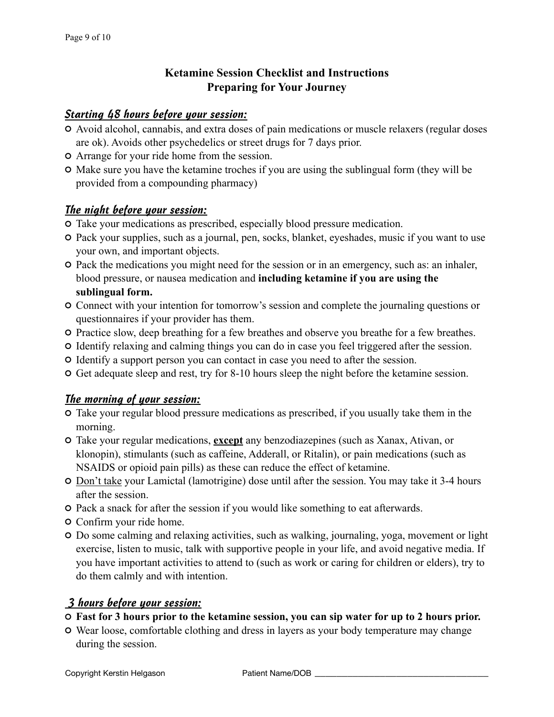# **Ketamine Session Checklist and Instructions Preparing for Your Journey**

## *Starting 48 hours before your session:*

- Avoid alcohol, cannabis, and extra doses of pain medications or muscle relaxers (regular doses are ok). Avoids other psychedelics or street drugs for 7 days prior.
- Arrange for your ride home from the session.
- Make sure you have the ketamine troches if you are using the sublingual form (they will be provided from a compounding pharmacy)

## *The night before your session:*

- Take your medications as prescribed, especially blood pressure medication.
- Pack your supplies, such as a journal, pen, socks, blanket, eyeshades, music if you want to use your own, and important objects.
- Pack the medications you might need for the session or in an emergency, such as: an inhaler, blood pressure, or nausea medication and **including ketamine if you are using the sublingual form.**
- Connect with your intention for tomorrow's session and complete the journaling questions or questionnaires if your provider has them.
- Practice slow, deep breathing for a few breathes and observe you breathe for a few breathes.
- Identify relaxing and calming things you can do in case you feel triggered after the session.
- Identify a support person you can contact in case you need to after the session.
- Get adequate sleep and rest, try for 8-10 hours sleep the night before the ketamine session.

## *The morning of your session:*

- Take your regular blood pressure medications as prescribed, if you usually take them in the morning.
- Take your regular medications, **except** any benzodiazepines (such as Xanax, Ativan, or klonopin), stimulants (such as caffeine, Adderall, or Ritalin), or pain medications (such as NSAIDS or opioid pain pills) as these can reduce the effect of ketamine.
- Don't take your Lamictal (lamotrigine) dose until after the session. You may take it 3-4 hours after the session.
- Pack a snack for after the session if you would like something to eat afterwards.
- Confirm your ride home.
- Do some calming and relaxing activities, such as walking, journaling, yoga, movement or light exercise, listen to music, talk with supportive people in your life, and avoid negative media. If you have important activities to attend to (such as work or caring for children or elders), try to do them calmly and with intention.

## *3 hours before your session:*

## **Fast for 3 hours prior to the ketamine session, you can sip water for up to 2 hours prior.**

Wear loose, comfortable clothing and dress in layers as your body temperature may change during the session.